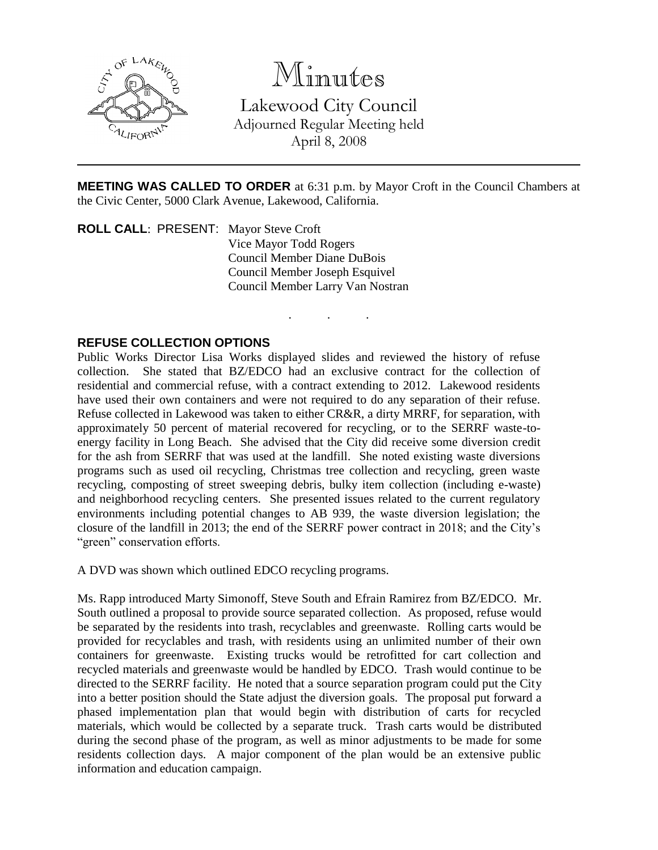

# Minutes

Lakewood City Council Adjourned Regular Meeting held April 8, 2008

**MEETING WAS CALLED TO ORDER** at 6:31 p.m. by Mayor Croft in the Council Chambers at the Civic Center, 5000 Clark Avenue, Lakewood, California.

. . .

**ROLL CALL**: PRESENT: Mayor Steve Croft Vice Mayor Todd Rogers Council Member Diane DuBois Council Member Joseph Esquivel Council Member Larry Van Nostran

## **REFUSE COLLECTION OPTIONS**

Public Works Director Lisa Works displayed slides and reviewed the history of refuse collection. She stated that BZ/EDCO had an exclusive contract for the collection of residential and commercial refuse, with a contract extending to 2012. Lakewood residents have used their own containers and were not required to do any separation of their refuse. Refuse collected in Lakewood was taken to either CR&R, a dirty MRRF, for separation, with approximately 50 percent of material recovered for recycling, or to the SERRF waste-toenergy facility in Long Beach. She advised that the City did receive some diversion credit for the ash from SERRF that was used at the landfill. She noted existing waste diversions programs such as used oil recycling, Christmas tree collection and recycling, green waste recycling, composting of street sweeping debris, bulky item collection (including e-waste) and neighborhood recycling centers. She presented issues related to the current regulatory environments including potential changes to AB 939, the waste diversion legislation; the closure of the landfill in 2013; the end of the SERRF power contract in 2018; and the City's "green" conservation efforts.

A DVD was shown which outlined EDCO recycling programs.

Ms. Rapp introduced Marty Simonoff, Steve South and Efrain Ramirez from BZ/EDCO. Mr. South outlined a proposal to provide source separated collection. As proposed, refuse would be separated by the residents into trash, recyclables and greenwaste. Rolling carts would be provided for recyclables and trash, with residents using an unlimited number of their own containers for greenwaste. Existing trucks would be retrofitted for cart collection and recycled materials and greenwaste would be handled by EDCO. Trash would continue to be directed to the SERRF facility. He noted that a source separation program could put the City into a better position should the State adjust the diversion goals. The proposal put forward a phased implementation plan that would begin with distribution of carts for recycled materials, which would be collected by a separate truck. Trash carts would be distributed during the second phase of the program, as well as minor adjustments to be made for some residents collection days. A major component of the plan would be an extensive public information and education campaign.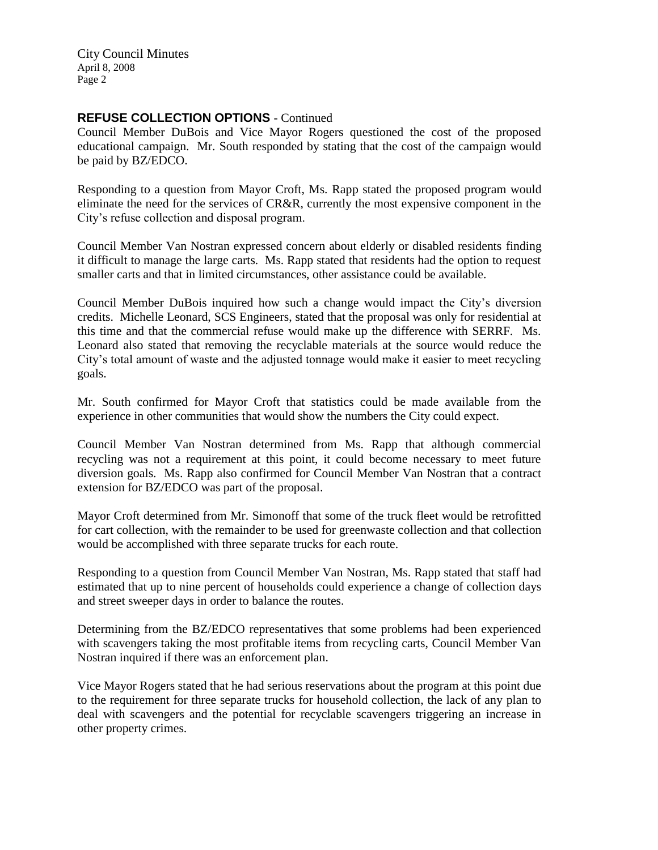City Council Minutes April 8, 2008 Page 2

#### **REFUSE COLLECTION OPTIONS** - Continued

Council Member DuBois and Vice Mayor Rogers questioned the cost of the proposed educational campaign. Mr. South responded by stating that the cost of the campaign would be paid by BZ/EDCO.

Responding to a question from Mayor Croft, Ms. Rapp stated the proposed program would eliminate the need for the services of CR&R, currently the most expensive component in the City's refuse collection and disposal program.

Council Member Van Nostran expressed concern about elderly or disabled residents finding it difficult to manage the large carts. Ms. Rapp stated that residents had the option to request smaller carts and that in limited circumstances, other assistance could be available.

Council Member DuBois inquired how such a change would impact the City's diversion credits. Michelle Leonard, SCS Engineers, stated that the proposal was only for residential at this time and that the commercial refuse would make up the difference with SERRF. Ms. Leonard also stated that removing the recyclable materials at the source would reduce the City's total amount of waste and the adjusted tonnage would make it easier to meet recycling goals.

Mr. South confirmed for Mayor Croft that statistics could be made available from the experience in other communities that would show the numbers the City could expect.

Council Member Van Nostran determined from Ms. Rapp that although commercial recycling was not a requirement at this point, it could become necessary to meet future diversion goals. Ms. Rapp also confirmed for Council Member Van Nostran that a contract extension for BZ/EDCO was part of the proposal.

Mayor Croft determined from Mr. Simonoff that some of the truck fleet would be retrofitted for cart collection, with the remainder to be used for greenwaste collection and that collection would be accomplished with three separate trucks for each route.

Responding to a question from Council Member Van Nostran, Ms. Rapp stated that staff had estimated that up to nine percent of households could experience a change of collection days and street sweeper days in order to balance the routes.

Determining from the BZ/EDCO representatives that some problems had been experienced with scavengers taking the most profitable items from recycling carts, Council Member Van Nostran inquired if there was an enforcement plan.

Vice Mayor Rogers stated that he had serious reservations about the program at this point due to the requirement for three separate trucks for household collection, the lack of any plan to deal with scavengers and the potential for recyclable scavengers triggering an increase in other property crimes.